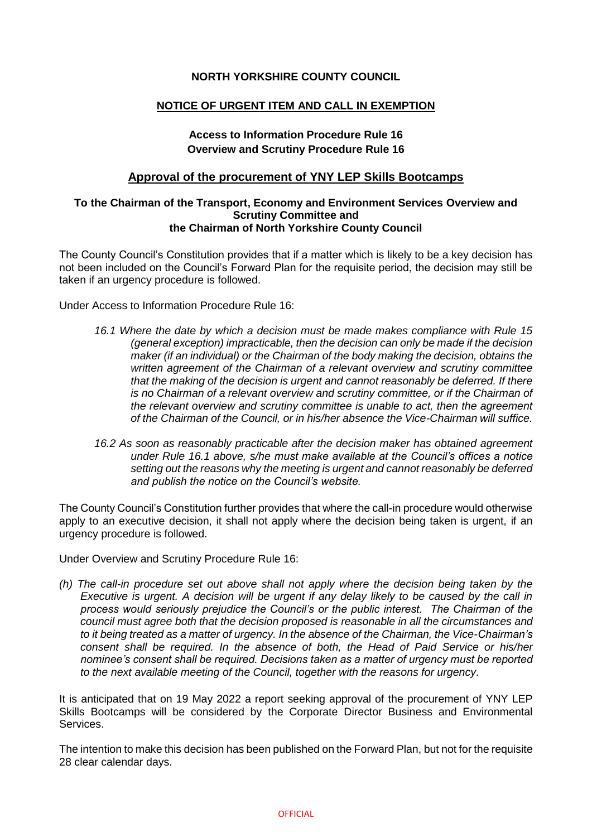## **NORTH YORKSHIRE COUNTY COUNCIL**

## **NOTICE OF URGENT ITEM AND CALL IN EXEMPTION**

# **Access to Information Procedure Rule 16 Overview and Scrutiny Procedure Rule 16**

## **Approval of the procurement of YNY LEP Skills Bootcamps**

#### **To the Chairman of the Transport, Economy and Environment Services Overview and Scrutiny Committee and the Chairman of North Yorkshire County Council**

The County Council's Constitution provides that if a matter which is likely to be a key decision has not been included on the Council's Forward Plan for the requisite period, the decision may still be taken if an urgency procedure is followed.

Under Access to Information Procedure Rule 16:

- *16.1 Where the date by which a decision must be made makes compliance with Rule 15 (general exception) impracticable, then the decision can only be made if the decision maker (if an individual) or the Chairman of the body making the decision, obtains the written agreement of the Chairman of a relevant overview and scrutiny committee that the making of the decision is urgent and cannot reasonably be deferred. If there is no Chairman of a relevant overview and scrutiny committee, or if the Chairman of the relevant overview and scrutiny committee is unable to act, then the agreement of the Chairman of the Council, or in his/her absence the Vice-Chairman will suffice.*
- *16.2 As soon as reasonably practicable after the decision maker has obtained agreement under Rule 16.1 above, s/he must make available at the Council's offices a notice setting out the reasons why the meeting is urgent and cannot reasonably be deferred and publish the notice on the Council's website.*

The County Council's Constitution further provides that where the call-in procedure would otherwise apply to an executive decision, it shall not apply where the decision being taken is urgent, if an urgency procedure is followed.

Under Overview and Scrutiny Procedure Rule 16:

*(h) The call-in procedure set out above shall not apply where the decision being taken by the Executive is urgent. A decision will be urgent if any delay likely to be caused by the call in process would seriously prejudice the Council's or the public interest. The Chairman of the council must agree both that the decision proposed is reasonable in all the circumstances and to it being treated as a matter of urgency. In the absence of the Chairman, the Vice-Chairman's consent shall be required. In the absence of both, the Head of Paid Service or his/her nominee's consent shall be required. Decisions taken as a matter of urgency must be reported to the next available meeting of the Council, together with the reasons for urgency.*

It is anticipated that on 19 May 2022 a report seeking approval of the procurement of YNY LEP Skills Bootcamps will be considered by the Corporate Director Business and Environmental Services.

The intention to make this decision has been published on the Forward Plan, but not for the requisite 28 clear calendar days.